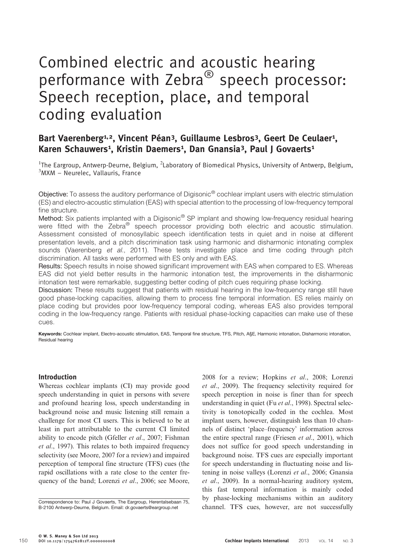# Combined electric and acoustic hearing performance with Zebra<sup>®</sup> speech processor: Speech reception, place, and temporal coding evaluation

# Bart Vaerenberg<sup>1,2</sup>, Vincent Péan<sup>3</sup>, Guillaume Lesbros<sup>3</sup>, Geert De Ceulaer<sup>1</sup>, Karen Schauwers<sup>1</sup>, Kristin Daemers<sup>1</sup>, Dan Gnansia<sup>3</sup>, Paul J Govaerts<sup>1</sup>

<sup>1</sup>The Eargroup, Antwerp-Deurne, Belgium, <sup>2</sup>Laboratory of Biomedical Physics, University of Antwerp, Belgium, 3 MXM – Neurelec, Vallauris, France

Objective: To assess the auditory performance of Digisonic® cochlear implant users with electric stimulation (ES) and electro-acoustic stimulation (EAS) with special attention to the processing of low-frequency temporal fine structure.

Method: Six patients implanted with a Digisonic<sup>®</sup> SP implant and showing low-frequency residual hearing were fitted with the Zebra<sup>®</sup> speech processor providing both electric and acoustic stimulation. Assessment consisted of monosyllabic speech identification tests in quiet and in noise at different presentation levels, and a pitch discrimination task using harmonic and disharmonic intonating complex sounds [\(Vaerenberg](#page-7-0) et al., 2011). These tests investigate place and time coding through pitch discrimination. All tasks were performed with ES only and with EAS.

Results: Speech results in noise showed significant improvement with EAS when compared to ES. Whereas EAS did not yield better results in the harmonic intonation test, the improvements in the disharmonic intonation test were remarkable, suggesting better coding of pitch cues requiring phase locking.

Discussion: These results suggest that patients with residual hearing in the low-frequency range still have good phase-locking capacities, allowing them to process fine temporal information. ES relies mainly on place coding but provides poor low-frequency temporal coding, whereas EAS also provides temporal coding in the low-frequency range. Patients with residual phase-locking capacities can make use of these cues.

Keywords: Cochlear implant, Electro-acoustic stimulation, EAS, Temporal fine structure, TFS, Pitch, A§E, Harmonic intonation, Disharmonic intonation, Residual hearing

# Introduction

Whereas cochlear implants (CI) may provide good speech understanding in quiet in persons with severe and profound hearing loss, speech understanding in background noise and music listening still remain a challenge for most CI users. This is believed to be at least in part attributable to the current CI limited ability to encode pitch [\(Gfeller](#page-7-0) et al., 2007; [Fishman](#page-7-0) et al[., 1997\)](#page-7-0). This relates to both impaired frequency selectivity (see [Moore, 2007](#page-7-0) for a review) and impaired perception of temporal fine structure (TFS) cues (the rapid oscillations with a rate close to the center fre-quency of the band; [Lorenzi](#page-7-0) et al., 2006; see [Moore,](#page-7-0)

[2008](#page-7-0) for a review; [Hopkins](#page-7-0) et al., 2008; [Lorenzi](#page-7-0) et al[., 2009\)](#page-7-0). The frequency selectivity required for speech perception in noise is finer than for speech understanding in quiet (Fu et al[., 1998\)](#page-7-0). Spectral selectivity is tonotopically coded in the cochlea. Most implant users, however, distinguish less than 10 channels of distinct 'place–frequency' information across the entire spectral range [\(Friesen](#page-7-0) et al., 2001), which does not suffice for good speech understanding in background noise. TFS cues are especially important for speech understanding in fluctuating noise and listening in noise valleys [\(Lorenzi](#page-7-0) et al., 2006; [Gnansia](#page-7-0) et al[., 2009\)](#page-7-0). In a normal-hearing auditory system, this fast temporal information is mainly coded by phase-locking mechanisms within an auditory Correspondence to: Paul J Govaerts, The Eargroup, Herentalsebaan 75,<br>
B-2100 Antwerp-Deurne, Belgium. Email: dr.govaerts@eargroup.net channel. TFS cues, however, are not successfully

B-2100 Antwerp-Deurne, Belgium. Email: [dr.govaerts@eargroup.net](mailto:dr.govaerts@eargroup.net)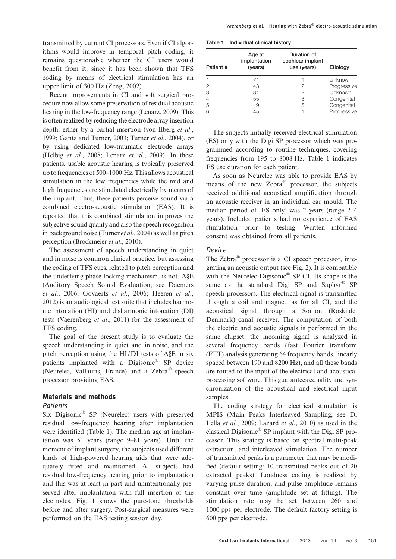transmitted by current CI processors. Even if CI algorithms would improve in temporal pitch coding, it remains questionable whether the CI users would benefit from it, since it has been shown that TFS coding by means of electrical stimulation has an upper limit of 300 Hz [\(Zeng, 2002\)](#page-7-0).

Recent improvements in CI and soft surgical procedure now allow some preservation of residual acoustic hearing in the low-frequency range [\(Lenarz, 2009\)](#page-7-0). This is often realized by reducing the electrode array insertion depth, either by a partial insertion [\(von Ilberg](#page-7-0) et al., [1999; Gantz and Turner, 2003](#page-7-0); [Turner](#page-7-0) et al., 2004), or by using dedicated low-traumatic electrode arrays (Helbig et al[., 2008](#page-7-0); Lenarz et al[., 2009\)](#page-7-0). In these patients, usable acoustic hearing is typically preserved up to frequencies of 500–1000 Hz. This allows acoustical stimulation in the low frequencies while the mid and high frequencies are stimulated electrically by means of the implant. Thus, these patients perceive sound via a combined electro-acoustic stimulation (EAS). It is reported that this combined stimulation improves the subjective sound quality and also the speech recognition in background noise ([Turner](#page-7-0) et al., 2004) as well as pitch perception [\(Brockmeier](#page-7-0) et al., 2010).

The assessment of speech understanding in quiet and in noise is common clinical practice, but assessing the coding of TFS cues, related to pitch perception and the underlying phase-locking mechanism, is not. A§E (Auditory Speech Sound Evaluation; see [Daemers](#page-7-0) et al[., 2006; Govaerts](#page-7-0) et al., 2006; [Heeren](#page-7-0) et al., [2012](#page-7-0)) is an audiological test suite that includes harmonic intonation (HI) and disharmonic intonation (DI) tests ([Vaerenberg](#page-7-0) et al., 2011) for the assessment of TFS coding.

The goal of the present study is to evaluate the speech understanding in quiet and in noise, and the pitch perception using the HI/DI tests of A§E in six patients implanted with a Digisonic® SP device (Neurelec, Vallauris, France) and a Zebra® speech processor providing EAS.

# Materials and methods

#### Patients

Six Digisonic® SP (Neurelec) users with preserved residual low-frequency hearing after implantation were identified (Table 1). The median age at implantation was 51 years (range 9–81 years). Until the moment of implant surgery, the subjects used different kinds of high-powered hearing aids that were adequately fitted and maintained. All subjects had residual low-frequency hearing prior to implantation and this was at least in part and unintentionally preserved after implantation with full insertion of the electrodes. Fig. [1](#page-2-0) shows the pure-tone thresholds before and after surgery. Post-surgical measures were performed on the EAS testing session day.

| Patient# | Age at<br>implantation<br>(years) | Duration of<br>cochlear implant<br>use (years) | Etiology    |
|----------|-----------------------------------|------------------------------------------------|-------------|
|          | 71                                |                                                | Unknown     |
|          | 43                                | 2                                              | Progressive |
| 3        | 81                                | 2                                              | Unknown     |
|          | 55                                | 3                                              | Congenital  |
| 5        | 9                                 | 5                                              | Congenital  |
| 6        | 45                                |                                                | Progressive |

The subjects initially received electrical stimulation (ES) only with the Digi SP processor which was programmed according to routine techniques, covering frequencies from 195 to 8008 Hz. Table 1 indicates ES use duration for each patient.

As soon as Neurelec was able to provide EAS by means of the new Zebra® processor, the subjects received additional acoustical amplification through an acoustic receiver in an individual ear mould. The median period of 'ES only' was 2 years (range 2–4 years). Included patients had no experience of EAS stimulation prior to testing. Written informed consent was obtained from all patients.

# Device

The Zebra® processor is a CI speech processor, integrating an acoustic output (see Fig. [2](#page-3-0)). It is compatible with the Neurelec Digisonic® SP CI. Its shape is the same as the standard Digi SP and Saphyr<sup>®</sup> SP speech processors. The electrical signal is transmitted through a coil and magnet, as for all CI, and the acoustical signal through a Sonion (Roskilde, Denmark) canal receiver. The computation of both the electric and acoustic signals is performed in the same chipset: the incoming signal is analyzed in several frequency bands (fast Fourier transform (FFT) analysis generating 64 frequency bands, linearly spaced between 190 and 8200 Hz), and all these bands are routed to the input of the electrical and acoustical processing software. This guarantees equality and synchronization of the acoustical and electrical input samples.

The coding strategy for electrical stimulation is MPIS (Main Peaks Interleaved Sampling; see [Di](#page-7-0) Lella et al[., 2009; Lazard](#page-7-0) et al., 2010) as used in the classical Digisonic® SP implant with the Digi SP processor. This strategy is based on spectral multi-peak extraction, and interleaved stimulation. The number of transmitted peaks is a parameter that may be modified (default setting: 10 transmitted peaks out of 20 extracted peaks). Loudness coding is realized by varying pulse duration, and pulse amplitude remains constant over time (amplitude set at fitting). The stimulation rate may be set between 260 and 1000 pps per electrode. The default factory setting is 600 pps per electrode.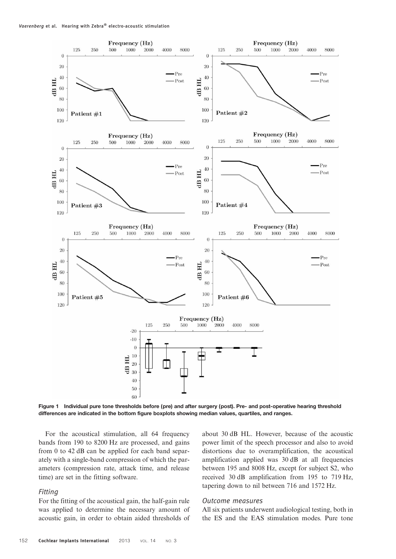<span id="page-2-0"></span>

Figure 1 Individual pure tone thresholds before (pre) and after surgery (post). Pre- and post-operative hearing threshold differences are indicated in the bottom figure boxplots showing median values, quartiles, and ranges.

For the acoustical stimulation, all 64 frequency bands from 190 to 8200 Hz are processed, and gains from 0 to 42 dB can be applied for each band separately with a single-band compression of which the parameters (compression rate, attack time, and release time) are set in the fitting software.

### Fitting

For the fitting of the acoustical gain, the half-gain rule was applied to determine the necessary amount of acoustic gain, in order to obtain aided thresholds of about 30 dB HL. However, because of the acoustic power limit of the speech processor and also to avoid distortions due to overamplification, the acoustical amplification applied was 30 dB at all frequencies between 195 and 8008 Hz, except for subject S2, who received 30 dB amplification from 195 to 719 Hz, tapering down to nil between 716 and 1572 Hz.

#### Outcome measures

All six patients underwent audiological testing, both in the ES and the EAS stimulation modes. Pure tone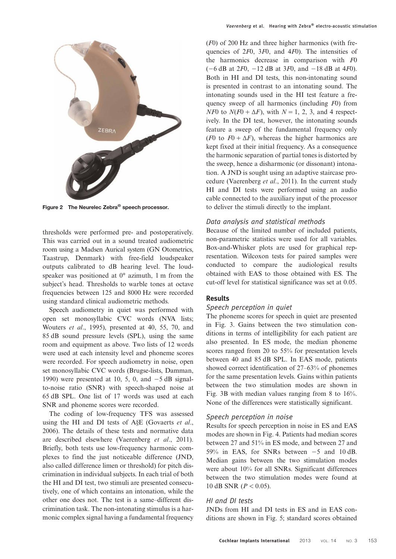<span id="page-3-0"></span>

Figure 2 The Neurelec Zebra® speech processor.

thresholds were performed pre- and postoperatively. This was carried out in a sound treated audiometric room using a Madsen Aurical system (GN Otometrics, Taastrup, Denmark) with free-field loudspeaker outputs calibrated to dB hearing level. The loudspeaker was positioned at 0° azimuth, 1 m from the subject's head. Thresholds to warble tones at octave frequencies between 125 and 8000 Hz were recorded using standard clinical audiometric methods.

Speech audiometry in quiet was performed with open set monosyllabic CVC words (NVA lists; [Wouters](#page-7-0) et al., 1995), presented at 40, 55, 70, and 85 dB sound pressure levels (SPL), using the same room and equipment as above. Two lists of 12 words were used at each intensity level and phoneme scores were recorded. For speech audiometry in noise, open set monosyllabic CVC words (Brugse-lists, [Damman,](#page-7-0) [1990](#page-7-0)) were presented at 10, 5, 0, and −5 dB signalto-noise ratio (SNR) with speech-shaped noise at 65 dB SPL. One list of 17 words was used at each SNR and phoneme scores were recorded.

The coding of low-frequency TFS was assessed using the HI and DI tests of A§E ([Govaerts](#page-7-0) et al., [2006](#page-7-0)). The details of these tests and normative data are described elsewhere [\(Vaerenberg](#page-7-0) et al., 2011). Briefly, both tests use low-frequency harmonic complexes to find the just noticeable difference (JND, also called difference limen or threshold) for pitch discrimination in individual subjects. In each trial of both the HI and DI test, two stimuli are presented consecutively, one of which contains an intonation, while the other one does not. The test is a same–different discrimination task. The non-intonating stimulus is a harmonic complex signal having a fundamental frequency

(F0) of 200 Hz and three higher harmonics (with frequencies of 2F0, 3F0, and 4F0). The intensities of the harmonics decrease in comparison with F0  $(-6$  dB at 2F0,  $-12$  dB at 3F0, and  $-18$  dB at 4F0). Both in HI and DI tests, this non-intonating sound is presented in contrast to an intonating sound. The intonating sounds used in the HI test feature a frequency sweep of all harmonics (including F0) from  $N\ddot{F}$  to  $N(F0 + \Delta F)$ , with  $N = 1, 2, 3$ , and 4 respectively. In the DI test, however, the intonating sounds feature a sweep of the fundamental frequency only (F0 to  $F0 + \Delta F$ ), whereas the higher harmonics are kept fixed at their initial frequency. As a consequence the harmonic separation of partial tones is distorted by the sweep, hence a disharmonic (or dissonant) intonation. A JND is sought using an adaptive staircase procedure [\(Vaerenberg](#page-7-0) et al., 2011). In the current study HI and DI tests were performed using an audio cable connected to the auxiliary input of the processor to deliver the stimuli directly to the implant.

#### Data analysis and statistical methods

Because of the limited number of included patients, non-parametric statistics were used for all variables. Box-and-Whisker plots are used for graphical representation. Wilcoxon tests for paired samples were conducted to compare the audiological results obtained with EAS to those obtained with ES. The cut-off level for statistical significance was set at 0.05.

# Results

## Speech perception in quiet

The phoneme scores for speech in quiet are presented in Fig. [3](#page-4-0). Gains between the two stimulation conditions in terms of intelligibility for each patient are also presented. In ES mode, the median phoneme scores ranged from 20 to 55% for presentation levels between 40 and 85 dB SPL. In EAS mode, patients showed correct identification of 27–63% of phonemes for the same presentation levels. Gains within patients between the two stimulation modes are shown in Fig. [3](#page-4-0)B with median values ranging from 8 to 16%. None of the differences were statistically significant.

#### Speech perception in noise

Results for speech perception in noise in ES and EAS modes are shown in Fig. [4](#page-4-0). Patients had median scores between 27 and 51% in ES mode, and between 27 and 59% in EAS, for SNRs between −5 and 10 dB. Median gains between the two stimulation modes were about 10% for all SNRs. Significant differences between the two stimulation modes were found at 10 dB SNR ( $P < 0.05$ ).

#### HI and DI tests

JNDs from HI and DI tests in ES and in EAS conditions are shown in Fig. [5](#page-5-0); standard scores obtained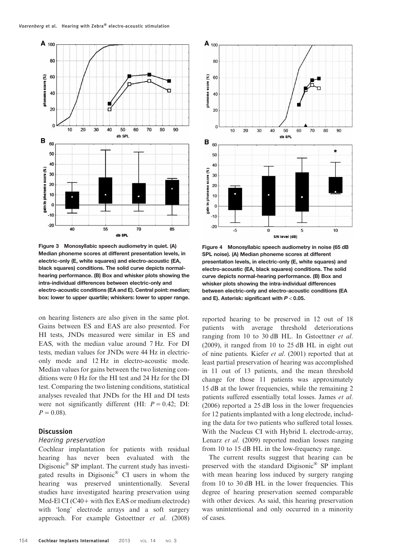<span id="page-4-0"></span>

Figure 3 Monosyllabic speech audiometry in quiet. (A) Median phoneme scores at different presentation levels, in electric-only (E, white squares) and electro-acoustic (EA, black squares) conditions. The solid curve depicts normalhearing performance. (B) Box and whisker plots showing the intra-individual differences between electric-only and electro-acoustic conditions (EA and E). Central point: median; box: lower to upper quartile; whiskers: lower to upper range.

on hearing listeners are also given in the same plot. Gains between ES and EAS are also presented. For HI tests, JNDs measured were similar in ES and EAS, with the median value around 7 Hz. For DI tests, median values for JNDs were 44 Hz in electriconly mode and 12 Hz in electro-acoustic mode. Median values for gains between the two listening conditions were 0 Hz for the HI test and 24 Hz for the DI test. Comparing the two listening conditions, statistical analyses revealed that JNDs for the HI and DI tests were not significantly different (HI:  $P = 0.42$ ; DI:  $P = 0.08$ ).

#### **Discussion**

#### Hearing preservation

Cochlear implantation for patients with residual hearing has never been evaluated with the Digisonic® SP implant. The current study has investigated results in Digisonic® CI users in whom the hearing was preserved unintentionally. Several studies have investigated hearing preservation using Med-El CI (C40+ with flex EAS or medium electrode) with 'long' electrode arrays and a soft surgery approach. For example [Gstoettner](#page-7-0) et al. (2008)



Figure 4 Monosyllabic speech audiometry in noise (65 dB SPL noise). (A) Median phoneme scores at different presentation levels, in electric-only (E, white squares) and electro-acoustic (EA, black squares) conditions. The solid curve depicts normal-hearing performance. (B) Box and whisker plots showing the intra-individual differences between electric-only and electro-acoustic conditions (EA and E). Asterisk: significant with  $P < 0.05$ .

reported hearing to be preserved in 12 out of 18 patients with average threshold deteriorations ranging from 10 to 30 dB HL. In [Gstoettner](#page-7-0) et al. [\(2009\)](#page-7-0), it ranged from 10 to 25 dB HL in eight out of nine patients. Kiefer et al[. \(2001\)](#page-7-0) reported that at least partial preservation of hearing was accomplished in 11 out of 13 patients, and the mean threshold change for those 11 patients was approximately 15 dB at the lower frequencies, while the remaining 2 patients suffered essentially total losses. [James](#page-7-0) et al. [\(2006\)](#page-7-0) reported a 25 dB loss in the lower frequencies for 12 patients implanted with a long electrode, including the data for two patients who suffered total losses. With the Nucleus CI with Hybrid L electrode-array, Lenarz et al[. \(2009\)](#page-7-0) reported median losses ranging from 10 to 15 dB HL in the low-frequency range.

The current results suggest that hearing can be preserved with the standard Digisonic® SP implant with mean hearing loss induced by surgery ranging from 10 to 30 dB HL in the lower frequencies. This degree of hearing preservation seemed comparable with other devices. As said, this hearing preservation was unintentional and only occurred in a minority of cases.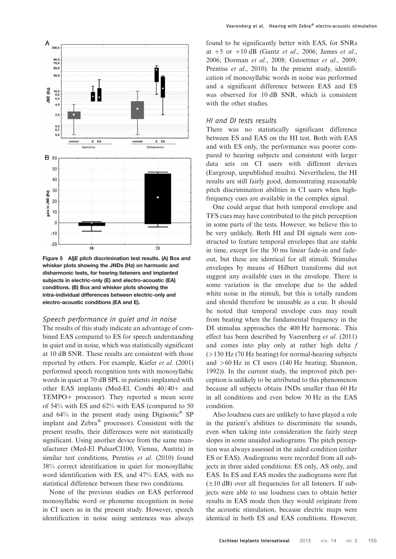<span id="page-5-0"></span>

Figure 5 A§E pitch discrimination test results. (A) Box and whisker plots showing the JNDs (Hz) on harmonic and disharmonic tests, for hearing listeners and implanted subjects in electric-only (E) and electro-acoustic (EA) conditions. (B) Box and whisker plots showing the intra-individual differences between electric-only and electro-acoustic conditions (EA and E).

#### Speech performance in quiet and in noise

The results of this study indicate an advantage of combined EAS compared to ES for speech understanding in quiet and in noise, which was statistically significant at 10 dB SNR. These results are consistent with those reported by others. For example, Kiefer et al[. \(2001\)](#page-7-0) performed speech recognition tests with monosyllabic words in quiet at 70 dB SPL in patients implanted with other EAS implants (Med-El, Combi 40/40+ and TEMPO+ processor). They reported a mean score of 54% with ES and 62% with EAS (compared to 50 and  $64\%$  in the present study using Digisonic<sup>®</sup> SP implant and Zebra® processor). Consistent with the present results, their differences were not statistically significant. Using another device from the same manufacturer (Med-El PulsarCI100, Vienna, Austria) in similar test conditions, Prentiss et al[. \(2010\)](#page-7-0) found 38% correct identification in quiet for monosyllabic word identification with ES, and 47% EAS, with no statistical difference between these two conditions.

None of the previous studies on EAS performed monosyllabic word or phoneme recognition in noise in CI users as in the present study. However, speech identification in noise using sentences was always found to be significantly better with EAS, for SNRs at  $+5$  or  $+10$  dB (Gantz *et al.*, 2006; [James](#page-7-0) *et al.*, [2006; Dorman](#page-7-0) et al., 2008; [Gstoettner](#page-7-0) et al., 2009; [Prentiss](#page-7-0) *et al.*, 2010). In the present study, identification of monosyllabic words in noise was performed and a significant difference between EAS and ES was observed for 10 dB SNR, which is consistent with the other studies.

# HI and DI tests results

There was no statistically significant difference between ES and EAS on the HI test. Both with EAS and with ES only, the performance was poorer compared to hearing subjects and consistent with larger data sets on CI users with different devices (Eargroup, unpublished results). Nevertheless, the HI results are still fairly good, demonstrating reasonable pitch discrimination abilities in CI users when highfrequency cues are available in the complex signal.

One could argue that both temporal envelope and TFS cues may have contributed to the pitch perception in some parts of the tests. However, we believe this to be very unlikely. Both HI and DI signals were constructed to feature temporal envelopes that are stable in time, except for the 30 ms linear fade-in and fadeout, but these are identical for all stimuli. Stimulus envelopes by means of Hilbert transforms did not suggest any available cues in the envelope. There is some variation in the envelope due to the added white noise in the stimuli, but this is totally random and should therefore be unusable as a cue. It should be noted that temporal envelope cues may result from beating when the fundamental frequency in the DI stimulus approaches the 400 Hz harmonic. This effect has been described by [Vaerenberg](#page-7-0) et al. (2011) and comes into play only at rather high delta  $f$ (>130 Hz (70 Hz beating) for normal-hearing subjects and >60 Hz in CI users (140 Hz beating; [Shannon,](#page-7-0) [1992\)](#page-7-0)). In the current study, the improved pitch perception is unlikely to be attributed to this phenomenon because all subjects obtain JNDs smaller than 60 Hz in all conditions and even below 30 Hz in the EAS condition.

Also loudness cues are unlikely to have played a role in the patient's abilities to discriminate the sounds, even when taking into consideration the fairly steep slopes in some unaided audiograms. The pitch perception was always assessed in the aided condition (either ES or EAS). Audiograms were recorded from all subjects in three aided conditions: ES only, AS only, and EAS. In ES and EAS modes the audiograms were flat  $(\pm 10$  dB) over all frequencies for all listeners. If subjects were able to use loudness cues to obtain better results in EAS mode then they would originate from the acoustic stimulation, because electric maps were identical in both ES and EAS conditions. However,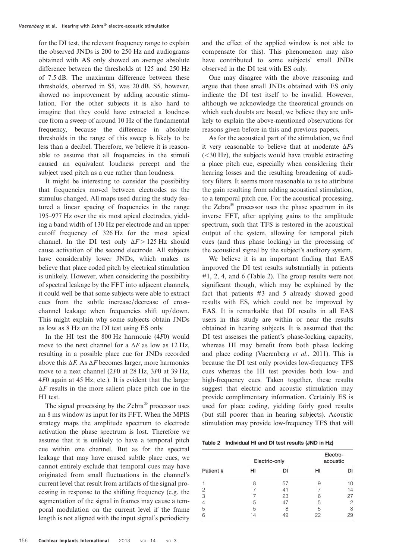for the DI test, the relevant frequency range to explain the observed JNDs is 200 to 250 Hz and audiograms obtained with AS only showed an average absolute difference between the thresholds at 125 and 250 Hz of 7.5 dB. The maximum difference between these thresholds, observed in S5, was 20 dB. S5, however, showed no improvement by adding acoustic stimulation. For the other subjects it is also hard to imagine that they could have extracted a loudness cue from a sweep of around 10 Hz of the fundamental frequency, because the difference in absolute thresholds in the range of this sweep is likely to be less than a decibel. Therefore, we believe it is reasonable to assume that all frequencies in the stimuli caused an equivalent loudness percept and the subject used pitch as a cue rather than loudness.

It might be interesting to consider the possibility that frequencies moved between electrodes as the stimulus changed. All maps used during the study featured a linear spacing of frequencies in the range 195–977 Hz over the six most apical electrodes, yielding a band width of 130 Hz per electrode and an upper cutoff frequency of 326 Hz for the most apical channel. In the DI test only  $\Delta F > 125$  Hz should cause activation of the second electrode. All subjects have considerably lower JNDs, which makes us believe that place coded pitch by electrical stimulation is unlikely. However, when considering the possibility of spectral leakage by the FFT into adjacent channels, it could well be that some subjects were able to extract cues from the subtle increase/decrease of crosschannel leakage when frequencies shift up/down. This might explain why some subjects obtain JNDs as low as 8 Hz on the DI test using ES only.

In the HI test the 800 Hz harmonic (4F0) would move to the next channel for a  $\Delta F$  as low as 12 Hz, resulting in a possible place cue for JNDs recorded above this  $\Delta F$ . As  $\Delta F$  becomes larger, more harmonics move to a next channel (2F0 at 28 Hz, 3F0 at 39 Hz, 4F0 again at 45 Hz, etc.). It is evident that the larger  $\Delta F$  results in the more salient place pitch cue in the HI test.

The signal processing by the  $Zebra^{\circledR}$  processor uses an 8 ms window as input for its FFT. When the MPIS strategy maps the amplitude spectrum to electrode activation the phase spectrum is lost. Therefore we assume that it is unlikely to have a temporal pitch cue within one channel. But as for the spectral leakage that may have caused subtle place cues, we cannot entirely exclude that temporal cues may have originated from small fluctuations in the channel's current level that result from artifacts of the signal processing in response to the shifting frequency (e.g. the segmentation of the signal in frames may cause a temporal modulation on the current level if the frame length is not aligned with the input signal's periodicity

and the effect of the applied window is not able to compensate for this). This phenomenon may also have contributed to some subjects' small JNDs observed in the DI test with ES only.

One may disagree with the above reasoning and argue that these small JNDs obtained with ES only indicate the DI test itself to be invalid. However, although we acknowledge the theoretical grounds on which such doubts are based, we believe they are unlikely to explain the above-mentioned observations for reasons given before in this and previous papers.

As for the acoustical part of the stimulation, we find it very reasonable to believe that at moderate  $\Delta Fs$ (<30 Hz), the subjects would have trouble extracting a place pitch cue, especially when considering their hearing losses and the resulting broadening of auditory filters. It seems more reasonable to us to attribute the gain resulting from adding acoustical stimulation, to a temporal pitch cue. For the acoustical processing, the Zebra $^{\circledR}$  processor uses the phase spectrum in its inverse FFT, after applying gains to the amplitude spectrum, such that TFS is restored in the acoustical output of the system, allowing for temporal pitch cues (and thus phase locking) in the processing of the acoustical signal by the subject's auditory system.

We believe it is an important finding that EAS improved the DI test results substantially in patients #1, 2, 4, and 6 (Table 2). The group results were not significant though, which may be explained by the fact that patients #3 and 5 already showed good results with ES, which could not be improved by EAS. It is remarkable that DI results in all EAS users in this study are within or near the results obtained in hearing subjects. It is assumed that the DI test assesses the patient's phase-locking capacity, whereas HI may benefit from both phase locking and place coding [\(Vaerenberg](#page-7-0) et al., 2011). This is because the DI test only provides low-frequency TFS cues whereas the HI test provides both low- and high-frequency cues. Taken together, these results suggest that electric and acoustic stimulation may provide complimentary information. Certainly ES is used for place coding, yielding fairly good results (but still poorer than in hearing subjects). Acoustic stimulation may provide low-frequency TFS that will

|  | Table 2 Individual HI and DI test results (JND in Hz) |  |  |  |  |  |  |
|--|-------------------------------------------------------|--|--|--|--|--|--|
|--|-------------------------------------------------------|--|--|--|--|--|--|

|          |    | Electric-only | Electro-<br>acoustic |       |  |
|----------|----|---------------|----------------------|-------|--|
| Patient# | нı | DI            | HI                   | DΙ    |  |
|          | 8  | 57            | 9                    | 1 ( ) |  |
| 2        |    | 41            |                      | 14    |  |
| 3        |    | 23            | 6                    | 27    |  |
| 4        | 5  | 47            | 5                    | 2     |  |
| 5        | 5  | Я             | 5                    | 8     |  |
| 6        | 14 | 49            | 22                   | 29    |  |